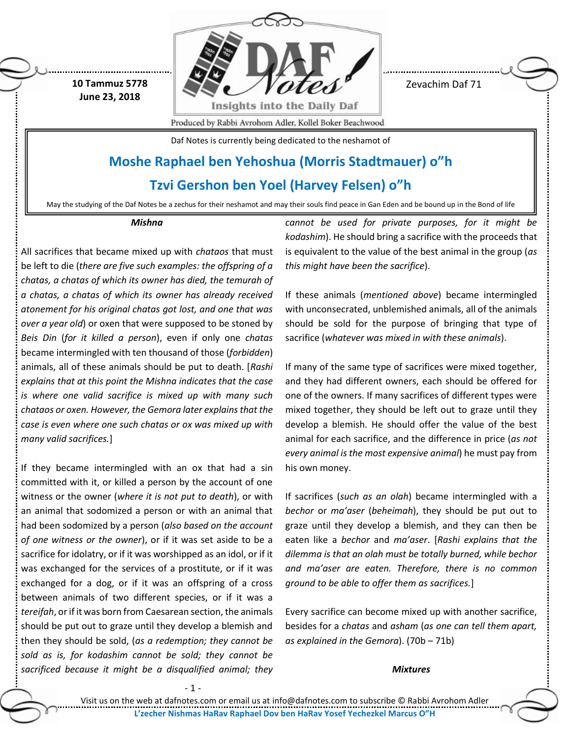**10 Tammuz 5778 June 23, 2018**



Zevachim Daf 71

Produced by Rabbi Avrohom Adler, Kollel Boker Beachwood

Daf Notes is currently being dedicated to the neshamot of

# **Moshe Raphael ben Yehoshua (Morris Stadtmauer) o"h**

**Tzvi Gershon ben Yoel (Harvey Felsen) o"h**

May the studying of the Daf Notes be a zechus for their neshamot and may their souls find peace in Gan Eden and be bound up in the Bond of life

#### *Mishna*

All sacrifices that became mixed up with *chataos* that must be left to die (*there are five such examples: the offspring of a chatas, a chatas of which its owner has died, the temurah of a chatas, a chatas of which its owner has already received atonement for his original chatas got lost, and one that was over a year old*) or oxen that were supposed to be stoned by *Beis Din* (*for it killed a person*), even if only one *chatas* became intermingled with ten thousand of those (*forbidden*) animals, all of these animals should be put to death. [*Rashi explains that at this point the Mishna indicates that the case is where one valid sacrifice is mixed up with many such chataos or oxen. However, the Gemora later explains that the case is even where one such chatas or ox was mixed up with many valid sacrifices.*]

If they became intermingled with an ox that had a sin committed with it, or killed a person by the account of one witness or the owner (*where it is not put to death*), or with an animal that sodomized a person or with an animal that had been sodomized by a person (*also based on the account of one witness or the owner*), or if it was set aside to be a sacrifice for idolatry, or if it was worshipped as an idol, or if it was exchanged for the services of a prostitute, or if it was exchanged for a dog, or if it was an offspring of a cross between animals of two different species, or if it was a *tereifah*, or if it was born from Caesarean section, the animals should be put out to graze until they develop a blemish and then they should be sold, (*as a redemption; they cannot be sold as is, for kodashim cannot be sold; they cannot be sacrificed because it might be a disqualified animal; they*  *cannot be used for private purposes, for it might be kodashim*). He should bring a sacrifice with the proceeds that is equivalent to the value of the best animal in the group (*as this might have been the sacrifice*).

If these animals (*mentioned above*) became intermingled with unconsecrated, unblemished animals, all of the animals should be sold for the purpose of bringing that type of sacrifice (*whatever was mixed in with these animals*).

If many of the same type of sacrifices were mixed together, and they had different owners, each should be offered for one of the owners. If many sacrifices of different types were mixed together, they should be left out to graze until they develop a blemish. He should offer the value of the best animal for each sacrifice, and the difference in price (*as not every animal is the most expensive animal*) he must pay from his own money.

If sacrifices (*such as an olah*) became intermingled with a *bechor* or *ma'aser* (*beheimah*), they should be put out to graze until they develop a blemish, and they can then be eaten like a *bechor* and *ma'aser*. [*Rashi explains that the dilemma is that an olah must be totally burned, while bechor and ma'aser are eaten. Therefore, there is no common ground to be able to offer them as sacrifices.*]

Every sacrifice can become mixed up with another sacrifice, besides for a *chatas* and *asham* (*as one can tell them apart, as explained in the Gemora*). (70b – 71b)

# *Mixtures*

Visit us on the web at dafnotes.com or email us at [info@dafnotes.com](mailto:info@dafnotes.com) to subscribe © Rabbi Avrohom Adler **L'zecher Nishmas HaRav Raphael Dov ben HaRav Yosef Yechezkel Marcus O"H**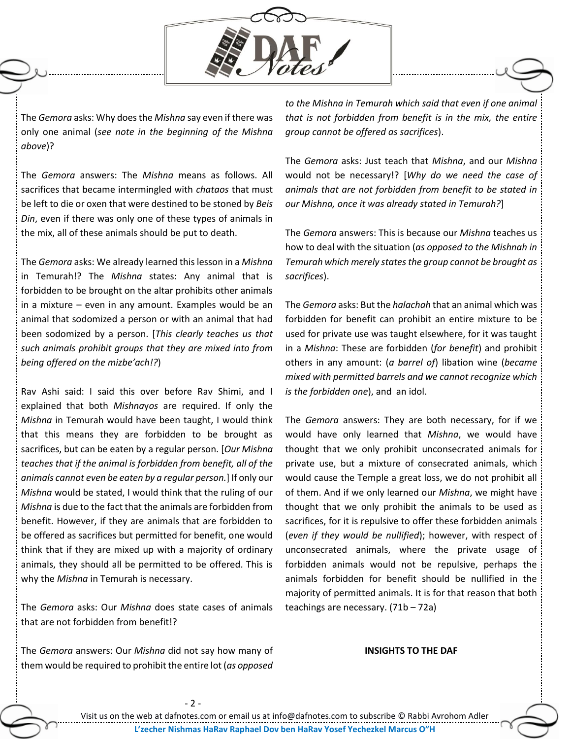

The *Gemora* asks: Why does the *Mishna* say even if there was only one animal (*see note in the beginning of the Mishna above*)?

The *Gemora* answers: The *Mishna* means as follows. All sacrifices that became intermingled with *chataos* that must be left to die or oxen that were destined to be stoned by *Beis Din*, even if there was only one of these types of animals in the mix, all of these animals should be put to death.

The *Gemora* asks: We already learned this lesson in a *Mishna* in Temurah!? The *Mishna* states: Any animal that is forbidden to be brought on the altar prohibits other animals in a mixture – even in any amount. Examples would be an animal that sodomized a person or with an animal that had been sodomized by a person. [*This clearly teaches us that such animals prohibit groups that they are mixed into from being offered on the mizbe'ach!?*)

Rav Ashi said: I said this over before Rav Shimi, and I explained that both *Mishna*y*os* are required. If only the *Mishna* in Temurah would have been taught, I would think that this means they are forbidden to be brought as sacrifices, but can be eaten by a regular person. [*Our Mishna teaches that if the animal is forbidden from benefit, all of the animals cannot even be eaten by a regular person.*] If only our *Mishna* would be stated, I would think that the ruling of our *Mishna* is due to the fact that the animals are forbidden from benefit. However, if they are animals that are forbidden to be offered as sacrifices but permitted for benefit, one would think that if they are mixed up with a majority of ordinary animals, they should all be permitted to be offered. This is why the *Mishna* in Temurah is necessary.

The *Gemora* asks: Our *Mishna* does state cases of animals that are not forbidden from benefit!?

The *Gemora* answers: Our *Mishna* did not say how many of them would be required to prohibit the entire lot (*as opposed* 

*to the Mishna in Temurah which said that even if one animal that is not forbidden from benefit is in the mix, the entire group cannot be offered as sacrifices*).

The *Gemora* asks: Just teach that *Mishna*, and our *Mishna* would not be necessary!? [*Why do we need the case of animals that are not forbidden from benefit to be stated in our Mishna, once it was already stated in Temurah?*]

The *Gemora* answers: This is because our *Mishna* teaches us how to deal with the situation (*as opposed to the Mishnah in Temurah which merely states the group cannot be brought as sacrifices*).

The *Gemora* asks: But the *halachah* that an animal which was forbidden for benefit can prohibit an entire mixture to be used for private use was taught elsewhere, for it was taught in a *Mishna*: These are forbidden (*for benefit*) and prohibit others in any amount: (*a barrel of*) libation wine (*became mixed with permitted barrels and we cannot recognize which is the forbidden one*), and an idol.

The *Gemora* answers: They are both necessary, for if we would have only learned that *Mishna*, we would have thought that we only prohibit unconsecrated animals for private use, but a mixture of consecrated animals, which would cause the Temple a great loss, we do not prohibit all of them. And if we only learned our *Mishna*, we might have thought that we only prohibit the animals to be used as sacrifices, for it is repulsive to offer these forbidden animals (*even if they would be nullified*); however, with respect of unconsecrated animals, where the private usage of forbidden animals would not be repulsive, perhaps the animals forbidden for benefit should be nullified in the majority of permitted animals. It is for that reason that both teachings are necessary. (71b – 72a)

# **INSIGHTS TO THE DAF**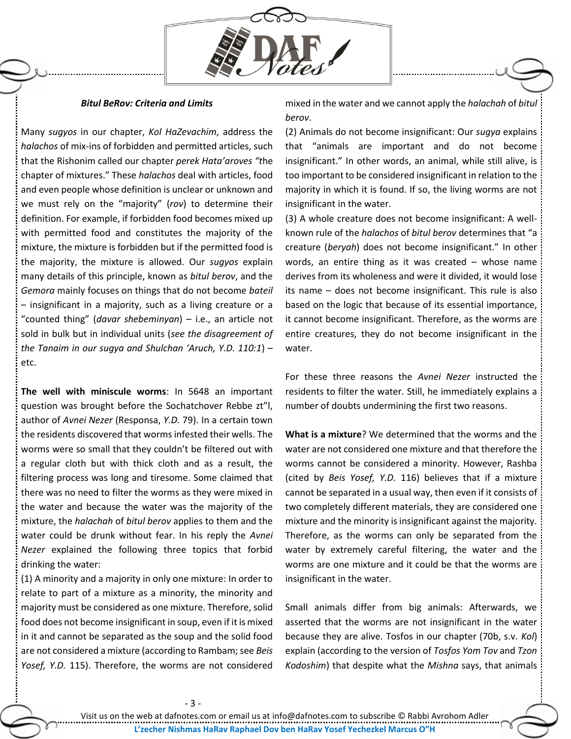

## *Bitul BeRov: Criteria and Limits*

Many *sugyos* in our chapter, *Kol HaZevachim*, address the *halachos* of mix-ins of forbidden and permitted articles, such that the Rishonim called our chapter *perek Hata'aroves "t*he chapter of mixtures." These *halachos* deal with articles, food and even people whose definition is unclear or unknown and we must rely on the "majority" (*rov*) to determine their definition. For example, if forbidden food becomes mixed up with permitted food and constitutes the majority of the mixture, the mixture is forbidden but if the permitted food is the majority, the mixture is allowed. Our *sugyos* explain many details of this principle, known as *bitul berov*, and the *Gemora* mainly focuses on things that do not become *bateil*  – insignificant in a majority, such as a living creature or a "counted thing" (*davar shebeminyan*) – i.e., an article not sold in bulk but in individual units (*see the disagreement of the Tanaim in our sugya and Shulchan 'Aruch, Y.D. 110:1*) – etc.

**The well with miniscule worms**: In 5648 an important question was brought before the Sochatchover Rebbe zt"l, author of *Avnei Nezer* (Responsa, *Y.D.* 79). In a certain town the residents discovered that worms infested their wells. The worms were so small that they couldn't be filtered out with a regular cloth but with thick cloth and as a result, the filtering process was long and tiresome. Some claimed that there was no need to filter the worms as they were mixed in the water and because the water was the majority of the mixture, the *halachah* of *bitul berov* applies to them and the water could be drunk without fear. In his reply the *Avnei Nezer* explained the following three topics that forbid drinking the water:

(1) A minority and a majority in only one mixture: In order to relate to part of a mixture as a minority, the minority and majority must be considered as one mixture. Therefore, solid food does not become insignificant in soup, even if it is mixed in it and cannot be separated as the soup and the solid food are not considered a mixture (according to Rambam; see *Beis Yosef, Y.D.* 115). Therefore, the worms are not considered

mixed in the water and we cannot apply the *halachah* of *bitul berov*.

(2) Animals do not become insignificant: Our *sugya* explains that "animals are important and do not become insignificant." In other words, an animal, while still alive, is too important to be considered insignificant in relation to the majority in which it is found. If so, the living worms are not insignificant in the water.

(3) A whole creature does not become insignificant: A wellknown rule of the *halachos* of *bitul berov* determines that "a creature (*beryah*) does not become insignificant." In other words, an entire thing as it was created – whose name derives from its wholeness and were it divided, it would lose its name – does not become insignificant. This rule is also based on the logic that because of its essential importance, it cannot become insignificant. Therefore, as the worms are entire creatures, they do not become insignificant in the water.

For these three reasons the *Avnei Nezer* instructed the residents to filter the water. Still, he immediately explains a number of doubts undermining the first two reasons.

**What is a mixture**? We determined that the worms and the water are not considered one mixture and that therefore the worms cannot be considered a minority. However, Rashba (cited by *Beis Yosef, Y.D.* 116) believes that if a mixture cannot be separated in a usual way, then even if it consists of two completely different materials, they are considered one mixture and the minority is insignificant against the majority. Therefore, as the worms can only be separated from the water by extremely careful filtering, the water and the worms are one mixture and it could be that the worms are insignificant in the water.

Small animals differ from big animals: Afterwards, we asserted that the worms are not insignificant in the water because they are alive. Tosfos in our chapter (70b, s.v. *Kol*) explain (according to the version of *Tosfos Yom Tov* and *Tzon Kodoshim*) that despite what the *Mishna* says, that animals